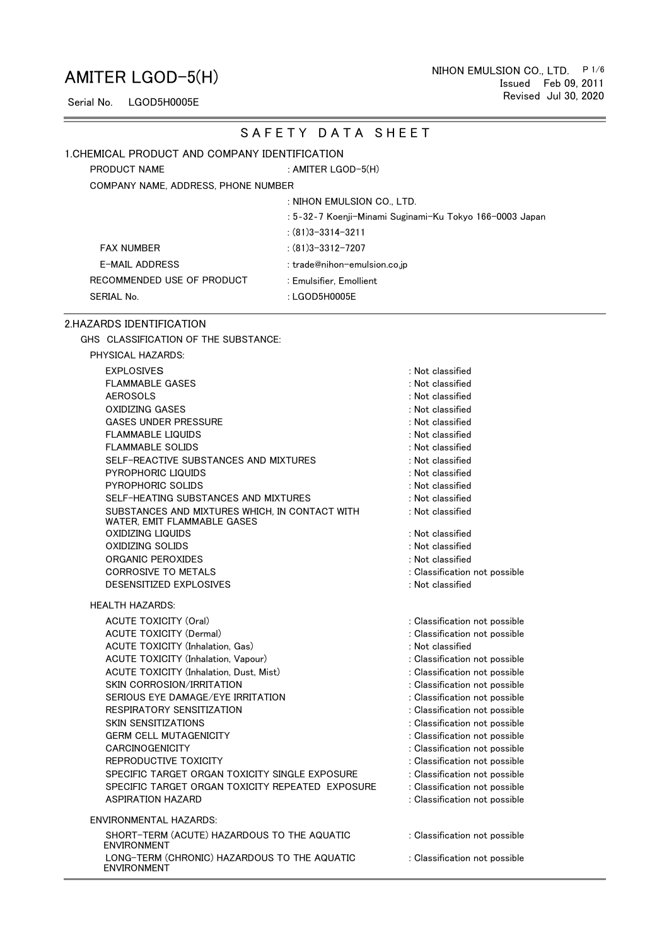Serial No. LGOD5H0005E

#### SAFETY DATA SHEET

#### 1.CHEMICAL PRODUCT AND COMPANY IDENTIFICATION

PRODUCT NAME : AMITER LGOD-5(H)

COMPANY NAME, ADDRESS, PHONE NUMBER

#### : NIHON EMULSION CO., LTD.

: 5‐32‐7 Koenji-Minami Suginami-Ku Tokyo 166-0003 Japan

#### FAX NUMBER : (81)3-3312-7207

E-MAIL ADDRESS : trade@nihon-emulsion.co.jp RECOMMENDED USE OF PRODUCT SERIAL No. 6 and 10 and 10 and 10 and 10 and 10 and 10 and 10 and 10 and 10 and 10 and 10 and 10 and 10 and 10 and 10 and 10 and 10 and 10 and 10 and 10 and 10 and 10 and 10 and 10 and 10 and 10 and 10 and 10 and 10 and 10

: Emulsifier, Emollient

#### 2.HAZARDS IDENTIFICATION

GHS CLASSIFICATION OF THE SUBSTANCE:

| PHYSICAL HAZARDS: |  |
|-------------------|--|
|-------------------|--|

| <b>EXPLOSIVES</b>                                                             | : Not classified              |
|-------------------------------------------------------------------------------|-------------------------------|
| <b>FLAMMABLE GASES</b>                                                        | : Not classified              |
| <b>AEROSOLS</b>                                                               | : Not classified              |
| <b>OXIDIZING GASES</b>                                                        | : Not classified              |
| <b>GASES UNDER PRESSURE</b>                                                   | : Not classified              |
| <b>FLAMMABLE LIQUIDS</b>                                                      | : Not classified              |
| <b>FLAMMABLE SOLIDS</b>                                                       | : Not classified              |
| SELF-REACTIVE SUBSTANCES AND MIXTURES                                         | : Not classified              |
| PYROPHORIC LIQUIDS                                                            | : Not classified              |
| PYROPHORIC SOLIDS                                                             | : Not classified              |
| SELF-HEATING SUBSTANCES AND MIXTURES                                          | : Not classified              |
| SUBSTANCES AND MIXTURES WHICH, IN CONTACT WITH<br>WATER, EMIT FLAMMABLE GASES | : Not classified              |
| OXIDIZING LIQUIDS                                                             | : Not classified              |
| OXIDIZING SOLIDS                                                              | : Not classified              |
| <b>ORGANIC PEROXIDES</b>                                                      | : Not classified              |
| <b>CORROSIVE TO METALS</b>                                                    | : Classification not possible |
| DESENSITIZED EXPLOSIVES                                                       | : Not classified              |
| HEALTH HAZARDS:                                                               |                               |
| <b>ACUTE TOXICITY (Oral)</b>                                                  | : Classification not possible |
| <b>ACUTE TOXICITY (Dermal)</b>                                                | : Classification not possible |
| <b>ACUTE TOXICITY (Inhalation, Gas)</b>                                       | : Not classified              |
| ACUTE TOXICITY (Inhalation, Vapour)                                           | : Classification not possible |
| <b>ACUTE TOXICITY (Inhalation, Dust, Mist)</b>                                | : Classification not possible |
| SKIN CORROSION/IRRITATION                                                     | : Classification not possible |
| SERIOUS EYE DAMAGE/EYE IRRITATION                                             | : Classification not possible |
| RESPIRATORY SENSITIZATION                                                     | : Classification not possible |
| <b>SKIN SENSITIZATIONS</b>                                                    | : Classification not possible |
| <b>GERM CELL MUTAGENICITY</b>                                                 | : Classification not possible |
| <b>CARCINOGENICITY</b>                                                        | : Classification not possible |
| REPRODUCTIVE TOXICITY                                                         | : Classification not possible |
| SPECIFIC TARGET ORGAN TOXICITY SINGLE EXPOSURE                                | : Classification not possible |
| SPECIFIC TARGET ORGAN TOXICITY REPEATED EXPOSURE                              | : Classification not possible |
| <b>ASPIRATION HAZARD</b>                                                      | : Classification not possible |
| ENVIRONMENTAL HAZARDS:                                                        |                               |
| SHORT-TERM (ACUTE) HAZARDOUS TO THE AQUATIC<br><b>ENVIRONMENT</b>             | : Classification not possible |
| LONG-TERM (CHRONIC) HAZARDOUS TO THE AQUATIC                                  | : Classification not possible |

ENVIRONMENT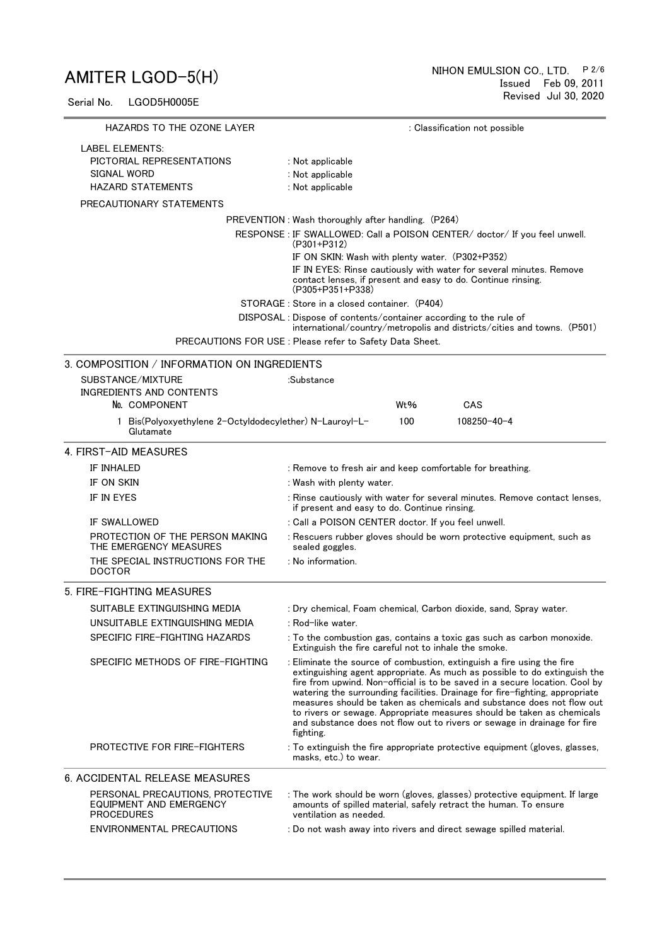Serial No. LGOD5H0005E

| HAZARDS TO THE OZONE LAYER                                                       | : Classification not possible                                                                                                                                                                                                                                                                                                                                                                                                                                                                                                                                  |
|----------------------------------------------------------------------------------|----------------------------------------------------------------------------------------------------------------------------------------------------------------------------------------------------------------------------------------------------------------------------------------------------------------------------------------------------------------------------------------------------------------------------------------------------------------------------------------------------------------------------------------------------------------|
| <b>LABEL ELEMENTS:</b>                                                           |                                                                                                                                                                                                                                                                                                                                                                                                                                                                                                                                                                |
| PICTORIAL REPRESENTATIONS                                                        | : Not applicable                                                                                                                                                                                                                                                                                                                                                                                                                                                                                                                                               |
| SIGNAL WORD                                                                      | : Not applicable                                                                                                                                                                                                                                                                                                                                                                                                                                                                                                                                               |
| <b>HAZARD STATEMENTS</b>                                                         | : Not applicable                                                                                                                                                                                                                                                                                                                                                                                                                                                                                                                                               |
| PRECAUTIONARY STATEMENTS                                                         |                                                                                                                                                                                                                                                                                                                                                                                                                                                                                                                                                                |
|                                                                                  | PREVENTION: Wash thoroughly after handling. (P264)                                                                                                                                                                                                                                                                                                                                                                                                                                                                                                             |
|                                                                                  | RESPONSE : IF SWALLOWED: Call a POISON CENTER/ doctor/ If you feel unwell.                                                                                                                                                                                                                                                                                                                                                                                                                                                                                     |
|                                                                                  | $(P301+P312)$<br>IF ON SKIN: Wash with plenty water. (P302+P352)                                                                                                                                                                                                                                                                                                                                                                                                                                                                                               |
|                                                                                  | IF IN EYES: Rinse cautiously with water for several minutes. Remove                                                                                                                                                                                                                                                                                                                                                                                                                                                                                            |
|                                                                                  | contact lenses, if present and easy to do. Continue rinsing.<br>(P305+P351+P338)                                                                                                                                                                                                                                                                                                                                                                                                                                                                               |
|                                                                                  | STORAGE: Store in a closed container. (P404)                                                                                                                                                                                                                                                                                                                                                                                                                                                                                                                   |
|                                                                                  | DISPOSAL: Dispose of contents/container according to the rule of<br>international/country/metropolis and districts/cities and towns. (P501)                                                                                                                                                                                                                                                                                                                                                                                                                    |
|                                                                                  | PRECAUTIONS FOR USE : Please refer to Safety Data Sheet.                                                                                                                                                                                                                                                                                                                                                                                                                                                                                                       |
| 3. COMPOSITION / INFORMATION ON INGREDIENTS                                      |                                                                                                                                                                                                                                                                                                                                                                                                                                                                                                                                                                |
| SUBSTANCE/MIXTURE                                                                | :Substance                                                                                                                                                                                                                                                                                                                                                                                                                                                                                                                                                     |
| INGREDIENTS AND CONTENTS                                                         |                                                                                                                                                                                                                                                                                                                                                                                                                                                                                                                                                                |
| No. COMPONENT                                                                    | Wt%<br>CAS                                                                                                                                                                                                                                                                                                                                                                                                                                                                                                                                                     |
| 1 Bis(Polyoxyethylene 2-Octyldodecylether) N-Lauroyl-L-<br>Glutamate             | 100<br>108250-40-4                                                                                                                                                                                                                                                                                                                                                                                                                                                                                                                                             |
| 4. FIRST-AID MEASURES                                                            |                                                                                                                                                                                                                                                                                                                                                                                                                                                                                                                                                                |
| <b>IF INHALED</b>                                                                | : Remove to fresh air and keep comfortable for breathing.                                                                                                                                                                                                                                                                                                                                                                                                                                                                                                      |
| IF ON SKIN                                                                       | : Wash with plenty water.                                                                                                                                                                                                                                                                                                                                                                                                                                                                                                                                      |
| IF IN EYES                                                                       | : Rinse cautiously with water for several minutes. Remove contact lenses,<br>if present and easy to do. Continue rinsing.                                                                                                                                                                                                                                                                                                                                                                                                                                      |
| <b>IF SWALLOWED</b>                                                              | : Call a POISON CENTER doctor. If you feel unwell.                                                                                                                                                                                                                                                                                                                                                                                                                                                                                                             |
| PROTECTION OF THE PERSON MAKING<br>THE EMERGENCY MEASURES                        | : Rescuers rubber gloves should be worn protective equipment, such as<br>sealed goggles.                                                                                                                                                                                                                                                                                                                                                                                                                                                                       |
| THE SPECIAL INSTRUCTIONS FOR THE<br><b>DOCTOR</b>                                | : No information.                                                                                                                                                                                                                                                                                                                                                                                                                                                                                                                                              |
| 5. FIRE-FIGHTING MEASURES                                                        |                                                                                                                                                                                                                                                                                                                                                                                                                                                                                                                                                                |
| SUITABLE EXTINGUISHING MEDIA                                                     | : Dry chemical, Foam chemical, Carbon dioxide, sand, Spray water.                                                                                                                                                                                                                                                                                                                                                                                                                                                                                              |
| UNSUITABLE EXTINGUISHING MEDIA                                                   | : Rod-like water.                                                                                                                                                                                                                                                                                                                                                                                                                                                                                                                                              |
| SPECIFIC FIRE-FIGHTING HAZARDS                                                   | : To the combustion gas, contains a toxic gas such as carbon monoxide.<br>Extinguish the fire careful not to inhale the smoke.                                                                                                                                                                                                                                                                                                                                                                                                                                 |
| SPECIFIC METHODS OF FIRE-FIGHTING                                                | : Eliminate the source of combustion, extinguish a fire using the fire<br>extinguishing agent appropriate. As much as possible to do extinguish the<br>fire from upwind. Non-official is to be saved in a secure location. Cool by<br>watering the surrounding facilities. Drainage for fire-fighting, appropriate<br>measures should be taken as chemicals and substance does not flow out<br>to rivers or sewage. Appropriate measures should be taken as chemicals<br>and substance does not flow out to rivers or sewage in drainage for fire<br>fighting. |
| <b>PROTECTIVE FOR FIRE-FIGHTERS</b>                                              | : To extinguish the fire appropriate protective equipment (gloves, glasses,<br>masks, etc.) to wear.                                                                                                                                                                                                                                                                                                                                                                                                                                                           |
| 6. ACCIDENTAL RELEASE MEASURES                                                   |                                                                                                                                                                                                                                                                                                                                                                                                                                                                                                                                                                |
| PERSONAL PRECAUTIONS, PROTECTIVE<br>EQUIPMENT AND EMERGENCY<br><b>PROCEDURES</b> | : The work should be worn (gloves, glasses) protective equipment. If large<br>amounts of spilled material, safely retract the human. To ensure<br>ventilation as needed.                                                                                                                                                                                                                                                                                                                                                                                       |
| <b>ENVIRONMENTAL PRECAUTIONS</b>                                                 | : Do not wash away into rivers and direct sewage spilled material.                                                                                                                                                                                                                                                                                                                                                                                                                                                                                             |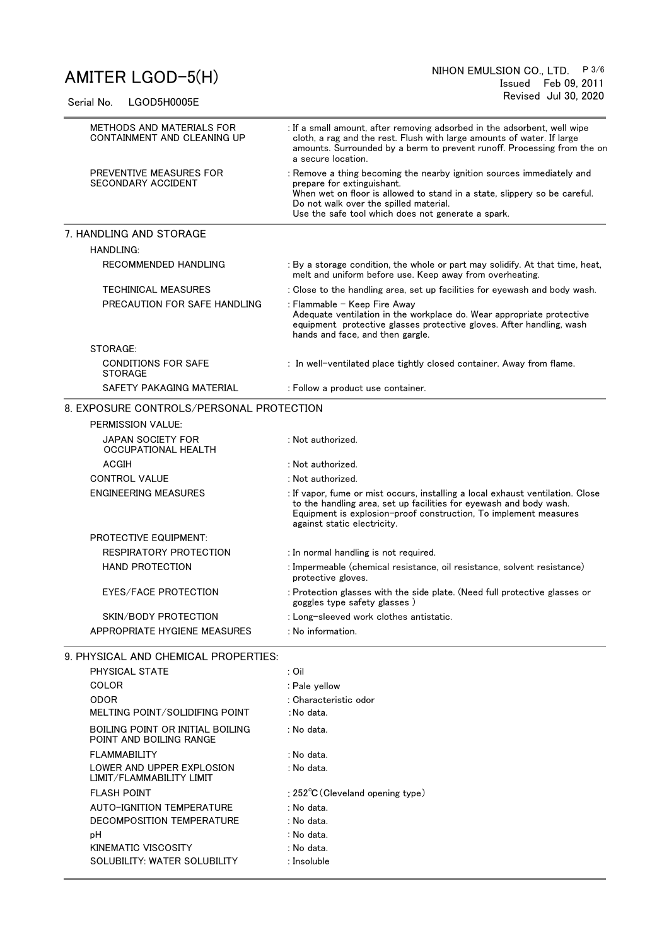Serial No. LGOD5H0005E

| METHODS AND MATERIALS FOR<br>CONTAINMENT AND CLEANING UP    | : If a small amount, after removing adsorbed in the adsorbent, well wipe<br>cloth, a rag and the rest. Flush with large amounts of water. If large<br>amounts. Surrounded by a berm to prevent runoff. Processing from the on<br>a secure location.                              |  |  |  |  |  |
|-------------------------------------------------------------|----------------------------------------------------------------------------------------------------------------------------------------------------------------------------------------------------------------------------------------------------------------------------------|--|--|--|--|--|
| PREVENTIVE MEASURES FOR<br><b>SECONDARY ACCIDENT</b>        | : Remove a thing becoming the nearby ignition sources immediately and<br>prepare for extinguishant.<br>When wet on floor is allowed to stand in a state, slippery so be careful.<br>Do not walk over the spilled material.<br>Use the safe tool which does not generate a spark. |  |  |  |  |  |
| 7. HANDLING AND STORAGE                                     |                                                                                                                                                                                                                                                                                  |  |  |  |  |  |
| <b>HANDLING:</b>                                            |                                                                                                                                                                                                                                                                                  |  |  |  |  |  |
| RECOMMENDED HANDLING                                        | : By a storage condition, the whole or part may solidify. At that time, heat,<br>melt and uniform before use. Keep away from overheating.                                                                                                                                        |  |  |  |  |  |
| <b>TECHINICAL MEASURES</b>                                  | : Close to the handling area, set up facilities for eyewash and body wash.                                                                                                                                                                                                       |  |  |  |  |  |
| PRECAUTION FOR SAFE HANDLING                                | : Flammable - Keep Fire Away<br>Adequate ventilation in the workplace do. Wear appropriate protective<br>equipment protective glasses protective gloves. After handling, wash<br>hands and face, and then gargle.                                                                |  |  |  |  |  |
| STORAGE:                                                    |                                                                                                                                                                                                                                                                                  |  |  |  |  |  |
| <b>CONDITIONS FOR SAFE</b><br><b>STORAGE</b>                | : In well-ventilated place tightly closed container. Away from flame.                                                                                                                                                                                                            |  |  |  |  |  |
| SAFETY PAKAGING MATERIAL                                    | : Follow a product use container.                                                                                                                                                                                                                                                |  |  |  |  |  |
| 8. EXPOSURE CONTROLS/PERSONAL PROTECTION                    |                                                                                                                                                                                                                                                                                  |  |  |  |  |  |
| PERMISSION VALUE:                                           |                                                                                                                                                                                                                                                                                  |  |  |  |  |  |
| <b>JAPAN SOCIETY FOR</b><br>OCCUPATIONAL HEALTH             | : Not authorized.                                                                                                                                                                                                                                                                |  |  |  |  |  |
| ACGIH                                                       | : Not authorized.                                                                                                                                                                                                                                                                |  |  |  |  |  |
| <b>CONTROL VALUE</b>                                        | : Not authorized.                                                                                                                                                                                                                                                                |  |  |  |  |  |
| <b>ENGINEERING MEASURES</b>                                 | : If vapor, fume or mist occurs, installing a local exhaust ventilation. Close<br>to the handling area, set up facilities for eyewash and body wash.<br>Equipment is explosion-proof construction, To implement measures<br>against static electricity.                          |  |  |  |  |  |
| <b>PROTECTIVE EQUIPMENT:</b>                                |                                                                                                                                                                                                                                                                                  |  |  |  |  |  |
| RESPIRATORY PROTECTION                                      | : In normal handling is not required.                                                                                                                                                                                                                                            |  |  |  |  |  |
| <b>HAND PROTECTION</b>                                      | : Impermeable (chemical resistance, oil resistance, solvent resistance)<br>protective gloves.                                                                                                                                                                                    |  |  |  |  |  |
| <b>EYES/FACE PROTECTION</b>                                 | : Protection glasses with the side plate. (Need full protective glasses or<br>goggles type safety glasses)                                                                                                                                                                       |  |  |  |  |  |
| SKIN/BODY PROTECTION                                        | : Long-sleeved work clothes antistatic.                                                                                                                                                                                                                                          |  |  |  |  |  |
| APPROPRIATE HYGIENE MEASURES                                | : No information.                                                                                                                                                                                                                                                                |  |  |  |  |  |
| 9. PHYSICAL AND CHEMICAL PROPERTIES:                        |                                                                                                                                                                                                                                                                                  |  |  |  |  |  |
| PHYSICAL STATE                                              | : Oil                                                                                                                                                                                                                                                                            |  |  |  |  |  |
| COLOR                                                       | : Pale yellow                                                                                                                                                                                                                                                                    |  |  |  |  |  |
| <b>ODOR</b>                                                 | : Characteristic odor                                                                                                                                                                                                                                                            |  |  |  |  |  |
| MELTING POINT/SOLIDIFING POINT                              | : No data.                                                                                                                                                                                                                                                                       |  |  |  |  |  |
| BOILING POINT OR INITIAL BOILING<br>POINT AND BOILING RANGE | : No data.                                                                                                                                                                                                                                                                       |  |  |  |  |  |
| <b>FLAMMABILITY</b>                                         | : No data.                                                                                                                                                                                                                                                                       |  |  |  |  |  |
| LOWER AND UPPER EXPLOSION<br>LIMIT/FLAMMABILITY LIMIT       | : No data.                                                                                                                                                                                                                                                                       |  |  |  |  |  |
| <b>FLASH POINT</b>                                          | : $252^{\circ}$ C (Cleveland opening type)                                                                                                                                                                                                                                       |  |  |  |  |  |
| AUTO-IGNITION TEMPERATURE                                   | : No data.                                                                                                                                                                                                                                                                       |  |  |  |  |  |
| DECOMPOSITION TEMPERATURE                                   | : No data.                                                                                                                                                                                                                                                                       |  |  |  |  |  |
| рH                                                          | : No data.                                                                                                                                                                                                                                                                       |  |  |  |  |  |
| KINEMATIC VISCOSITY                                         | : No data.                                                                                                                                                                                                                                                                       |  |  |  |  |  |
| SOLUBILITY: WATER SOLUBILITY                                | : Insoluble                                                                                                                                                                                                                                                                      |  |  |  |  |  |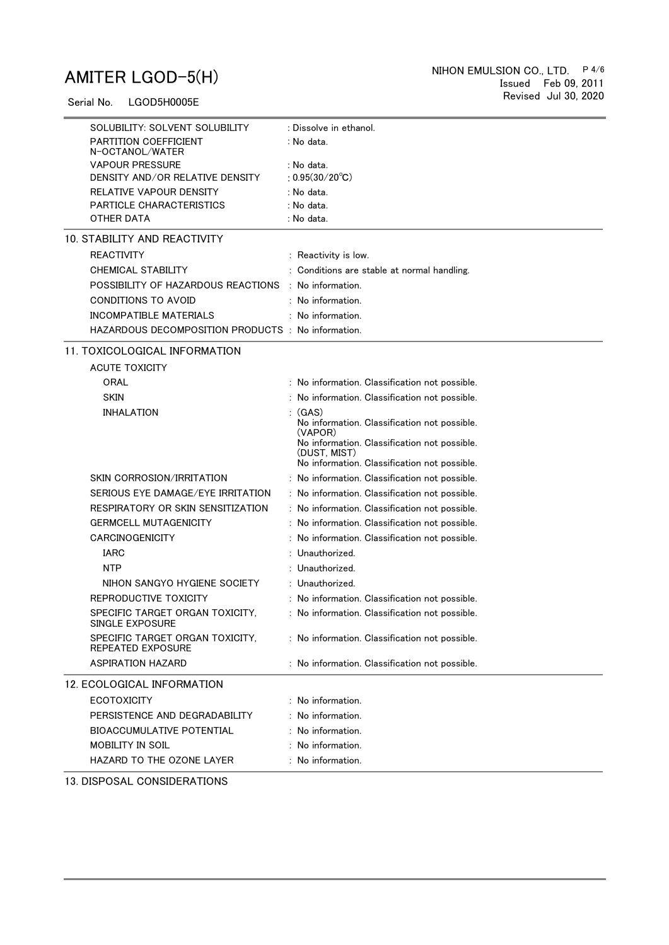Serial No. LGOD5H0005E

| SOLUBILITY: SOLVENT SOLUBILITY                       | : Dissolve in ethanol.                                  |
|------------------------------------------------------|---------------------------------------------------------|
| <b>PARTITION COEFFICIENT</b><br>N-OCTANOL/WATER      | : No data.                                              |
| <b>VAPOUR PRESSURE</b>                               | : No data.                                              |
| DENSITY AND/OR RELATIVE DENSITY                      | : $0.95(30/20^{\circ}C)$                                |
| RELATIVE VAPOUR DENSITY                              | : No data.                                              |
| <b>PARTICLE CHARACTERISTICS</b>                      | : No data.                                              |
| OTHER DATA                                           | : No data.                                              |
| 10. STABILITY AND REACTIVITY                         |                                                         |
| <b>REACTIVITY</b>                                    | : Reactivity is low.                                    |
| <b>CHEMICAL STABILITY</b>                            | : Conditions are stable at normal handling.             |
| POSSIBILITY OF HAZARDOUS REACTIONS                   | : No information.                                       |
| CONDITIONS TO AVOID                                  | $:$ No information.                                     |
| <b>INCOMPATIBLE MATERIALS</b>                        | : No information.                                       |
| HAZARDOUS DECOMPOSITION PRODUCTS : No information.   |                                                         |
| 11. TOXICOLOGICAL INFORMATION                        |                                                         |
| <b>ACUTE TOXICITY</b>                                |                                                         |
| ORAL                                                 | : No information. Classification not possible.          |
| <b>SKIN</b>                                          | : No information. Classification not possible.          |
| <b>INHALATION</b>                                    | : (GAS)                                                 |
|                                                      | No information. Classification not possible.            |
|                                                      | (VAPOR)<br>No information. Classification not possible. |
|                                                      | (DUST, MIST)                                            |
|                                                      | No information. Classification not possible.            |
| SKIN CORROSION/IRRITATION                            | : No information. Classification not possible.          |
| SERIOUS EYE DAMAGE/EYE IRRITATION                    | : No information. Classification not possible.          |
| RESPIRATORY OR SKIN SENSITIZATION                    | : No information. Classification not possible.          |
| <b>GERMCELL MUTAGENICITY</b>                         | : No information. Classification not possible.          |
| CARCINOGENICITY                                      | : No information. Classification not possible.          |
| <b>IARC</b>                                          | : Unauthorized.                                         |
| <b>NTP</b>                                           | : Unauthorized.                                         |
| NIHON SANGYO HYGIENE SOCIETY                         | : Unauthorized.                                         |
| REPRODUCTIVE TOXICITY                                | : No information. Classification not possible.          |
| SPECIFIC TARGET ORGAN TOXICITY,<br>SINGLE EXPOSURE   | : No information. Classification not possible.          |
| SPECIFIC TARGET ORGAN TOXICITY,<br>REPEATED EXPOSURE | : No information. Classification not possible.          |
| <b>ASPIRATION HAZARD</b>                             | : No information. Classification not possible.          |
| 12. ECOLOGICAL INFORMATION                           |                                                         |
| <b>ECOTOXICITY</b>                                   | : No information.                                       |
| PERSISTENCE AND DEGRADABILITY                        | $:$ No information.                                     |
| <b>BIOACCUMULATIVE POTENTIAL</b>                     | $:$ No information.                                     |
| MOBILITY IN SOIL                                     | $:$ No information.                                     |
| HAZARD TO THE OZONE LAYER                            | : No information.                                       |
| 12 DISPOSAL COMPIDEDATIONS                           |                                                         |

13. DISPOSAL CONSIDERATIONS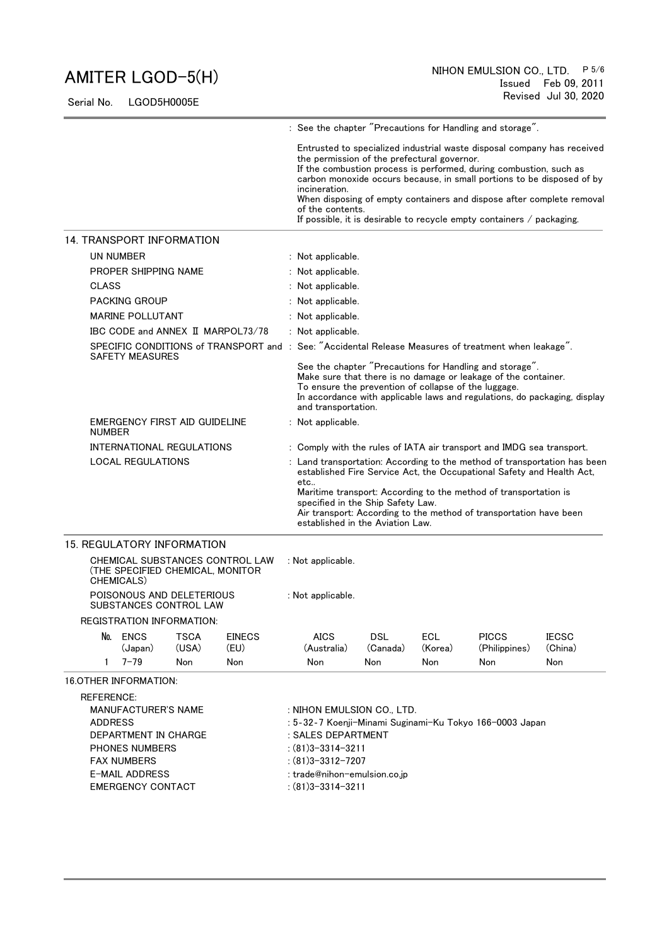Serial No. LGOD5H0005E

|                                                                                                                                       |                                                     |              |                                                                                                                                                                                                   |                                                                             |                                                                                                                                                                                                                                                                                                                                                                                                                                                                    |                                                                                                                                                                                                                                                                                              | : See the chapter "Precautions for Handling and storage".                                                                                                                                              |                |  |
|---------------------------------------------------------------------------------------------------------------------------------------|-----------------------------------------------------|--------------|---------------------------------------------------------------------------------------------------------------------------------------------------------------------------------------------------|-----------------------------------------------------------------------------|--------------------------------------------------------------------------------------------------------------------------------------------------------------------------------------------------------------------------------------------------------------------------------------------------------------------------------------------------------------------------------------------------------------------------------------------------------------------|----------------------------------------------------------------------------------------------------------------------------------------------------------------------------------------------------------------------------------------------------------------------------------------------|--------------------------------------------------------------------------------------------------------------------------------------------------------------------------------------------------------|----------------|--|
|                                                                                                                                       | 14. TRANSPORT INFORMATION                           |              |                                                                                                                                                                                                   |                                                                             | Entrusted to specialized industrial waste disposal company has received<br>the permission of the prefectural governor.<br>If the combustion process is performed, during combustion, such as<br>carbon monoxide occurs because, in small portions to be disposed of by<br>incineration.<br>When disposing of empty containers and dispose after complete removal<br>of the contents.<br>If possible, it is desirable to recycle empty containers $\ell$ packaging. |                                                                                                                                                                                                                                                                                              |                                                                                                                                                                                                        |                |  |
|                                                                                                                                       | UN NUMBER                                           |              |                                                                                                                                                                                                   | : Not applicable.                                                           |                                                                                                                                                                                                                                                                                                                                                                                                                                                                    |                                                                                                                                                                                                                                                                                              |                                                                                                                                                                                                        |                |  |
|                                                                                                                                       | PROPER SHIPPING NAME                                |              |                                                                                                                                                                                                   | : Not applicable.                                                           |                                                                                                                                                                                                                                                                                                                                                                                                                                                                    |                                                                                                                                                                                                                                                                                              |                                                                                                                                                                                                        |                |  |
| <b>CLASS</b>                                                                                                                          |                                                     |              |                                                                                                                                                                                                   | : Not applicable.                                                           |                                                                                                                                                                                                                                                                                                                                                                                                                                                                    |                                                                                                                                                                                                                                                                                              |                                                                                                                                                                                                        |                |  |
|                                                                                                                                       | <b>PACKING GROUP</b>                                |              |                                                                                                                                                                                                   | : Not applicable.                                                           |                                                                                                                                                                                                                                                                                                                                                                                                                                                                    |                                                                                                                                                                                                                                                                                              |                                                                                                                                                                                                        |                |  |
|                                                                                                                                       | <b>MARINE POLLUTANT</b>                             |              |                                                                                                                                                                                                   | : Not applicable.                                                           |                                                                                                                                                                                                                                                                                                                                                                                                                                                                    |                                                                                                                                                                                                                                                                                              |                                                                                                                                                                                                        |                |  |
|                                                                                                                                       |                                                     |              | IBC CODE and ANNEX II MARPOL73/78                                                                                                                                                                 | : Not applicable.                                                           |                                                                                                                                                                                                                                                                                                                                                                                                                                                                    |                                                                                                                                                                                                                                                                                              |                                                                                                                                                                                                        |                |  |
|                                                                                                                                       | <b>SAFETY MEASURES</b>                              |              |                                                                                                                                                                                                   |                                                                             |                                                                                                                                                                                                                                                                                                                                                                                                                                                                    |                                                                                                                                                                                                                                                                                              | SPECIFIC CONDITIONS of TRANSPORT and : See: "Accidental Release Measures of treatment when leakage".                                                                                                   |                |  |
|                                                                                                                                       |                                                     |              |                                                                                                                                                                                                   | To ensure the prevention of collapse of the luggage.<br>and transportation. |                                                                                                                                                                                                                                                                                                                                                                                                                                                                    |                                                                                                                                                                                                                                                                                              | See the chapter "Precautions for Handling and storage".<br>Make sure that there is no damage or leakage of the container.<br>In accordance with applicable laws and regulations, do packaging, display |                |  |
|                                                                                                                                       | EMERGENCY FIRST AID GUIDELINE<br><b>NUMBER</b>      |              |                                                                                                                                                                                                   | : Not applicable.                                                           |                                                                                                                                                                                                                                                                                                                                                                                                                                                                    |                                                                                                                                                                                                                                                                                              |                                                                                                                                                                                                        |                |  |
|                                                                                                                                       | INTERNATIONAL REGULATIONS                           |              |                                                                                                                                                                                                   | : Comply with the rules of IATA air transport and IMDG sea transport.       |                                                                                                                                                                                                                                                                                                                                                                                                                                                                    |                                                                                                                                                                                                                                                                                              |                                                                                                                                                                                                        |                |  |
| <b>LOCAL REGULATIONS</b>                                                                                                              |                                                     |              | etc<br>specified in the Ship Safety Law.<br>established in the Aviation Law.                                                                                                                      |                                                                             |                                                                                                                                                                                                                                                                                                                                                                                                                                                                    | : Land transportation: According to the method of transportation has been<br>established Fire Service Act, the Occupational Safety and Health Act,<br>Maritime transport: According to the method of transportation is<br>Air transport: According to the method of transportation have been |                                                                                                                                                                                                        |                |  |
| <b>15. REGULATORY INFORMATION</b>                                                                                                     |                                                     |              |                                                                                                                                                                                                   |                                                                             |                                                                                                                                                                                                                                                                                                                                                                                                                                                                    |                                                                                                                                                                                                                                                                                              |                                                                                                                                                                                                        |                |  |
|                                                                                                                                       | (THE SPECIFIED CHEMICAL, MONITOR<br>CHEMICALS)      |              | CHEMICAL SUBSTANCES CONTROL LAW                                                                                                                                                                   | : Not applicable.                                                           |                                                                                                                                                                                                                                                                                                                                                                                                                                                                    |                                                                                                                                                                                                                                                                                              |                                                                                                                                                                                                        |                |  |
|                                                                                                                                       | POISONOUS AND DELETERIOUS<br>SUBSTANCES CONTROL LAW |              |                                                                                                                                                                                                   | : Not applicable.                                                           |                                                                                                                                                                                                                                                                                                                                                                                                                                                                    |                                                                                                                                                                                                                                                                                              |                                                                                                                                                                                                        |                |  |
|                                                                                                                                       | <b>REGISTRATION INFORMATION:</b>                    |              |                                                                                                                                                                                                   |                                                                             |                                                                                                                                                                                                                                                                                                                                                                                                                                                                    |                                                                                                                                                                                                                                                                                              |                                                                                                                                                                                                        |                |  |
|                                                                                                                                       | No. ENCS                                            | <b>TSCA</b>  | <b>EINECS</b>                                                                                                                                                                                     | <b>AICS</b>                                                                 | <b>DSL</b>                                                                                                                                                                                                                                                                                                                                                                                                                                                         | ECL                                                                                                                                                                                                                                                                                          | <b>PICCS</b>                                                                                                                                                                                           | <b>IECSC</b>   |  |
| $\mathbf{1}$                                                                                                                          | (Japan)<br>$7 - 79$                                 | (USA)<br>Non | (EU)<br>Non                                                                                                                                                                                       | (Australia)<br>Non                                                          | (Canada)<br>Non                                                                                                                                                                                                                                                                                                                                                                                                                                                    | (Korea)<br>Non                                                                                                                                                                                                                                                                               | (Philippines)<br>Non                                                                                                                                                                                   | (China)<br>Non |  |
|                                                                                                                                       | <b>16.OTHER INFORMATION:</b>                        |              |                                                                                                                                                                                                   |                                                                             |                                                                                                                                                                                                                                                                                                                                                                                                                                                                    |                                                                                                                                                                                                                                                                                              |                                                                                                                                                                                                        |                |  |
| <b>REFERENCE:</b>                                                                                                                     |                                                     |              |                                                                                                                                                                                                   |                                                                             |                                                                                                                                                                                                                                                                                                                                                                                                                                                                    |                                                                                                                                                                                                                                                                                              |                                                                                                                                                                                                        |                |  |
| <b>MANUFACTURER'S NAME</b><br><b>ADDRESS</b><br>DEPARTMENT IN CHARGE<br><b>PHONES NUMBERS</b><br><b>FAX NUMBERS</b><br>E-MAIL ADDRESS |                                                     |              | : NIHON EMULSION CO., LTD.<br>: 5-32-7 Koenji-Minami Suginami-Ku Tokyo 166-0003 Japan<br>: SALES DEPARTMENT<br>$: (81)3 - 3314 - 3211$<br>$: (81)3 - 3312 - 7207$<br>: trade@nihon-emulsion.co.jp |                                                                             |                                                                                                                                                                                                                                                                                                                                                                                                                                                                    |                                                                                                                                                                                                                                                                                              |                                                                                                                                                                                                        |                |  |